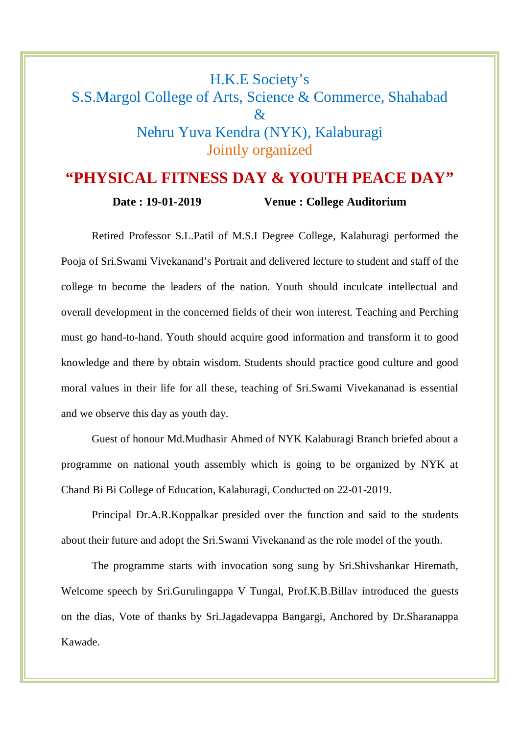## H.K.E Society's S.S.Margol College of Arts, Science & Commerce, Shahabad  $\mathcal{R}_{\mathcal{I}}$ Nehru Yuva Kendra (NYK), Kalaburagi Jointly organized

## **"PHYSICAL FITNESS DAY & YOUTH PEACE DAY"**

**Date : 19-01-2019 Venue : College Auditorium**

Retired Professor S.L.Patil of M.S.I Degree College, Kalaburagi performed the Pooja of Sri.Swami Vivekanand's Portrait and delivered lecture to student and staff of the college to become the leaders of the nation. Youth should inculcate intellectual and overall development in the concerned fields of their won interest. Teaching and Perching must go hand-to-hand. Youth should acquire good information and transform it to good knowledge and there by obtain wisdom. Students should practice good culture and good moral values in their life for all these, teaching of Sri.Swami Vivekananad is essential and we observe this day as youth day.

Guest of honour Md.Mudhasir Ahmed of NYK Kalaburagi Branch briefed about a programme on national youth assembly which is going to be organized by NYK at Chand Bi Bi College of Education, Kalaburagi, Conducted on 22-01-2019.

Principal Dr.A.R.Koppalkar presided over the function and said to the students about their future and adopt the Sri.Swami Vivekanand as the role model of the youth.

The programme starts with invocation song sung by Sri.Shivshankar Hiremath, Welcome speech by Sri.Gurulingappa V Tungal, Prof.K.B.Billav introduced the guests on the dias, Vote of thanks by Sri.Jagadevappa Bangargi, Anchored by Dr.Sharanappa Kawade.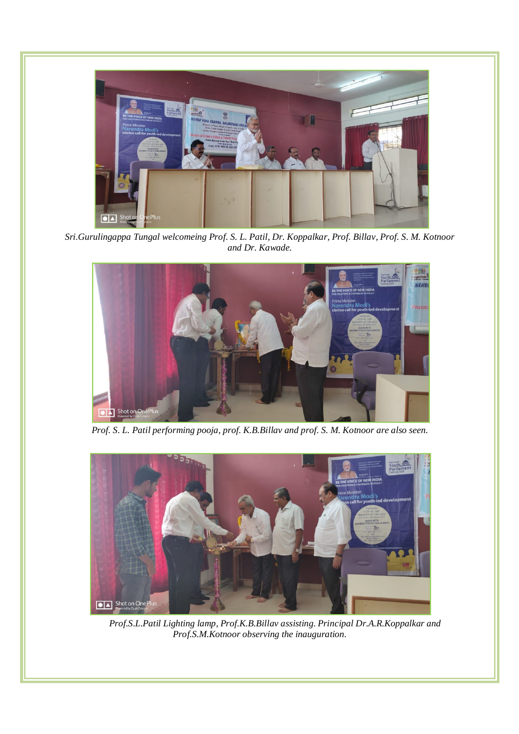

*Sri.Gurulingappa Tungal welcomeing Prof. S. L. Patil, Dr. Koppalkar, Prof. Billav, Prof. S. M. Kotnoor and Dr. Kawade.*



*Prof. S. L. Patil performing pooja, prof. K.B.Billav and prof. S. M. Kotnoor are also seen.*



*Prof.S.L.Patil Lighting lamp, Prof.K.B.Billav assisting. Principal Dr.A.R.Koppalkar and Prof.S.M.Kotnoor observing the inauguration.*